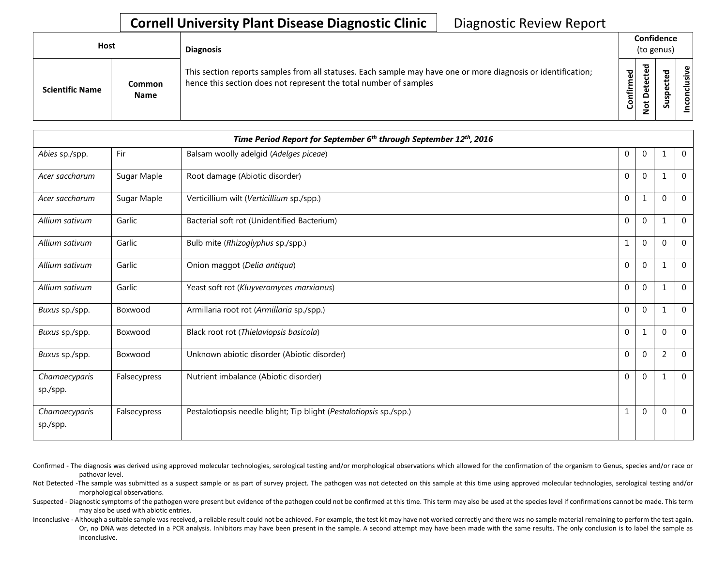| Host                   |                       | <b>Diagnosis</b>                                                                                                                                                                   |                    | Confidence<br>(to genus)     |                                 |            |
|------------------------|-----------------------|------------------------------------------------------------------------------------------------------------------------------------------------------------------------------------|--------------------|------------------------------|---------------------------------|------------|
| <b>Scientific Name</b> | Common<br><b>Name</b> | This section reports samples from all statuses. Each sample may have one or more diagnosis or identification;<br>hence this section does not represent the total number of samples | යි<br>ග<br>Confirm | ᇃ<br>$\Omega$<br>پ<br>۰<br>z | ъ<br>Φ<br>∸<br>ω<br>௨<br>s<br>ౘ | usive<br>ဒ |

|                           | Time Period Report for September 6 <sup>th</sup> through September 12 <sup>th</sup> , 2016 |                                                                    |                  |                |                |                |  |  |  |
|---------------------------|--------------------------------------------------------------------------------------------|--------------------------------------------------------------------|------------------|----------------|----------------|----------------|--|--|--|
| Abies sp./spp.            | Fir                                                                                        | Balsam woolly adelgid (Adelges piceae)                             | 0                | $\overline{0}$ | $\mathbf{1}$   | $\overline{0}$ |  |  |  |
| Acer saccharum            | Sugar Maple                                                                                | Root damage (Abiotic disorder)                                     | 0                | $\mathbf{0}$   | $\mathbf{1}$   | $\Omega$       |  |  |  |
| Acer saccharum            | Sugar Maple                                                                                | Verticillium wilt (Verticillium sp./spp.)                          | $\mathbf{0}$     | 1              | $\mathbf 0$    | $\mathbf{0}$   |  |  |  |
| Allium sativum            | Garlic                                                                                     | Bacterial soft rot (Unidentified Bacterium)                        | $\mathbf{0}$     | $\overline{0}$ | $\mathbf{1}$   | $\mathbf 0$    |  |  |  |
| Allium sativum            | Garlic                                                                                     | Bulb mite (Rhizoglyphus sp./spp.)                                  | 1                | $\mathbf 0$    | $\Omega$       | $\Omega$       |  |  |  |
| Allium sativum            | Garlic                                                                                     | Onion maggot (Delia antiqua)                                       | $\mathbf 0$      | $\mathbf{0}$   | $\mathbf 1$    | $\mathbf 0$    |  |  |  |
| Allium sativum            | Garlic                                                                                     | Yeast soft rot (Kluyveromyces marxianus)                           | $\mathbf 0$      | $\overline{0}$ | $\mathbf{1}$   | $\Omega$       |  |  |  |
| Buxus sp./spp.            | Boxwood                                                                                    | Armillaria root rot (Armillaria sp./spp.)                          | $\mathbf{0}$     | $\overline{0}$ | $\mathbf{1}$   | $\mathbf 0$    |  |  |  |
| Buxus sp./spp.            | Boxwood                                                                                    | Black root rot (Thielaviopsis basicola)                            | $\mathbf{0}$     | 1              | $\mathbf 0$    | $\mathbf 0$    |  |  |  |
| Buxus sp./spp.            | Boxwood                                                                                    | Unknown abiotic disorder (Abiotic disorder)                        | $\boldsymbol{0}$ | $\mathbf 0$    | $\overline{2}$ | $\Omega$       |  |  |  |
| Chamaecyparis<br>sp./spp. | Falsecypress                                                                               | Nutrient imbalance (Abiotic disorder)                              | $\mathbf{0}$     | $\overline{0}$ | $\mathbf 1$    | $\mathbf 0$    |  |  |  |
| Chamaecyparis<br>sp./spp. | Falsecypress                                                                               | Pestalotiopsis needle blight; Tip blight (Pestalotiopsis sp./spp.) | 1                | $\overline{0}$ | $\mathbf 0$    | $\Omega$       |  |  |  |

Confirmed - The diagnosis was derived using approved molecular technologies, serological testing and/or morphological observations which allowed for the confirmation of the organism to Genus, species and/or race or pathovar level.

Not Detected -The sample was submitted as a suspect sample or as part of survey project. The pathogen was not detected on this sample at this time using approved molecular technologies, serological testing and/or morphological observations.

Suspected - Diagnostic symptoms of the pathogen were present but evidence of the pathogen could not be confirmed at this time. This term may also be used at the species level if confirmations cannot be made. This term may also be used with abiotic entries.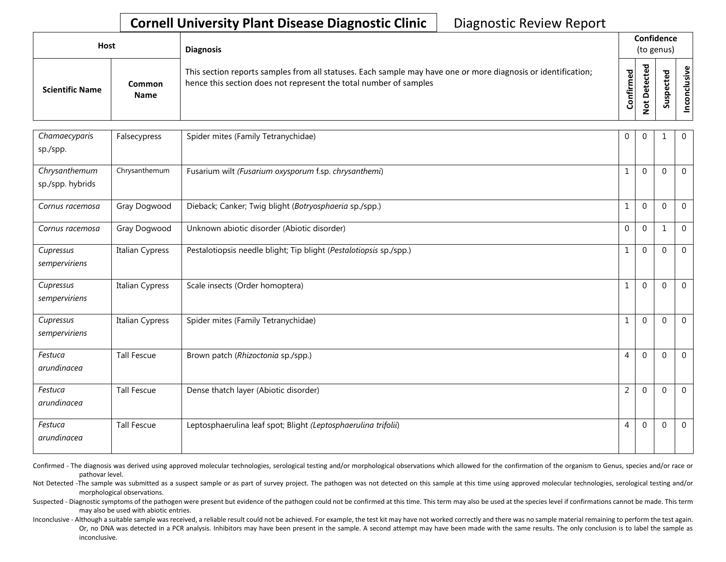| <b>Host</b>            |                       | <b>Diagnosis</b>                                                                                                                                                                   |           |                       | Confidence<br>(to genus) |                 |
|------------------------|-----------------------|------------------------------------------------------------------------------------------------------------------------------------------------------------------------------------|-----------|-----------------------|--------------------------|-----------------|
| <b>Scientific Name</b> | Common<br><b>Name</b> | This section reports samples from all statuses. Each sample may have one or more diagnosis or identification;<br>hence this section does not represent the total number of samples | Confirmed | ᇃ<br>⊕<br>٥<br>پ<br>- | ᇃ<br>ທ                   | ω<br>usiv<br>᠊ᠣ |

| Chamaecyparis    | Falsecypress       | Spider mites (Family Tetranychidae)                                | $\mathbf 0$    | $\mathbf 0$  | $\mathbf{1}$ | $\mathbf 0$    |
|------------------|--------------------|--------------------------------------------------------------------|----------------|--------------|--------------|----------------|
| sp./spp.         |                    |                                                                    |                |              |              |                |
| Chrysanthemum    | Chrysanthemum      | Fusarium wilt (Fusarium oxysporum f.sp. chrysanthemi)              |                | $\mathbf{0}$ | $\mathbf 0$  | $\overline{0}$ |
| sp./spp. hybrids |                    |                                                                    |                |              |              |                |
| Cornus racemosa  | Gray Dogwood       | Dieback; Canker; Twig blight (Botryosphaeria sp./spp.)             |                | $\mathbf 0$  | $\mathbf 0$  | $\overline{0}$ |
| Cornus racemosa  | Gray Dogwood       | Unknown abiotic disorder (Abiotic disorder)                        | $\mathbf{0}$   | $\mathbf{0}$ | $\mathbf{1}$ | $\mathbf{0}$   |
| Cupressus        | Italian Cypress    | Pestalotiopsis needle blight; Tip blight (Pestalotiopsis sp./spp.) |                | $\mathbf 0$  | $\Omega$     | $\overline{0}$ |
| semperviriens    |                    |                                                                    |                |              |              |                |
| Cupressus        | Italian Cypress    | Scale insects (Order homoptera)                                    | $\mathbf{1}$   | $\mathbf 0$  | $\Omega$     | $\overline{0}$ |
| semperviriens    |                    |                                                                    |                |              |              |                |
| Cupressus        | Italian Cypress    | Spider mites (Family Tetranychidae)                                |                | $\mathbf 0$  | $\Omega$     | $\overline{0}$ |
| semperviriens    |                    |                                                                    |                |              |              |                |
| Festuca          | <b>Tall Fescue</b> | Brown patch (Rhizoctonia sp./spp.)                                 | $\overline{4}$ | $\mathbf{0}$ | $\Omega$     | $\overline{0}$ |
| arundinacea      |                    |                                                                    |                |              |              |                |
| Festuca          | <b>Tall Fescue</b> | Dense thatch layer (Abiotic disorder)                              | $\overline{2}$ | $\mathbf{0}$ | $\Omega$     | $\overline{0}$ |
| arundinacea      |                    |                                                                    |                |              |              |                |
| Festuca          | <b>Tall Fescue</b> | Leptosphaerulina leaf spot; Blight (Leptosphaerulina trifolii)     | 4              | $\mathbf{0}$ | $\Omega$     | $\overline{0}$ |
| arundinacea      |                    |                                                                    |                |              |              |                |

Confirmed - The diagnosis was derived using approved molecular technologies, serological testing and/or morphological observations which allowed for the confirmation of the organism to Genus, species and/or race or pathovar level.

Not Detected -The sample was submitted as a suspect sample or as part of survey project. The pathogen was not detected on this sample at this time using approved molecular technologies, serological testing and/or morphological observations.

Suspected - Diagnostic symptoms of the pathogen were present but evidence of the pathogen could not be confirmed at this time. This term may also be used at the species level if confirmations cannot be made. This term may also be used with abiotic entries.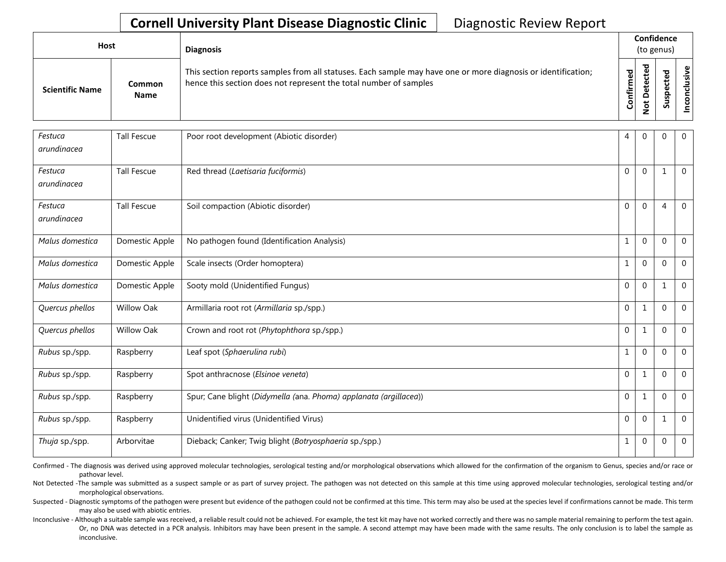| Host                   |                              | <b>Diagnosis</b>                                                                                                                                                                   |           | Confidence<br>(to genus)                 |               |      |
|------------------------|------------------------------|------------------------------------------------------------------------------------------------------------------------------------------------------------------------------------|-----------|------------------------------------------|---------------|------|
| <b>Scientific Name</b> | <b>Common</b><br><b>Name</b> | This section reports samples from all statuses. Each sample may have one or more diagnosis or identification;<br>hence this section does not represent the total number of samples | Confirmed | ᇃ<br>ပ<br>سد<br>$\Omega$<br>پ<br>$\circ$ | ъ<br>S<br>ທີ່ | ا ≦. |

| Festuca<br>arundinacea | <b>Tall Fescue</b> | Poor root development (Abiotic disorder)                          | 4            | $\mathbf{0}$ | 0              | $\overline{0}$ |
|------------------------|--------------------|-------------------------------------------------------------------|--------------|--------------|----------------|----------------|
|                        |                    |                                                                   |              |              |                |                |
| Festuca                | <b>Tall Fescue</b> | Red thread (Laetisaria fuciformis)                                | $\mathbf{0}$ | $\mathbf 0$  | $\mathbf{1}$   | $\mathbf 0$    |
| arundinacea            |                    |                                                                   |              |              |                |                |
| Festuca                | <b>Tall Fescue</b> | Soil compaction (Abiotic disorder)                                | $\mathbf 0$  | $\mathbf 0$  | $\overline{4}$ | $\mathbf{0}$   |
| arundinacea            |                    |                                                                   |              |              |                |                |
| Malus domestica        | Domestic Apple     | No pathogen found (Identification Analysis)                       | $\mathbf{1}$ | $\mathbf 0$  | $\mathbf 0$    | $\mathbf 0$    |
| Malus domestica        | Domestic Apple     | Scale insects (Order homoptera)                                   | $\mathbf 1$  | $\mathbf 0$  | $\Omega$       | $\Omega$       |
| Malus domestica        | Domestic Apple     | Sooty mold (Unidentified Fungus)                                  | $\mathbf 0$  | $\mathbf 0$  | 1              | $\mathbf 0$    |
| Quercus phellos        | <b>Willow Oak</b>  | Armillaria root rot (Armillaria sp./spp.)                         | $\mathbf 0$  | $1\,$        | $\Omega$       | $\Omega$       |
| Quercus phellos        | <b>Willow Oak</b>  | Crown and root rot (Phytophthora sp./spp.)                        | $\mathbf 0$  | $\mathbf{1}$ | $\Omega$       | $\mathbf 0$    |
| Rubus sp./spp.         | Raspberry          | Leaf spot (Sphaerulina rubi)                                      | $\mathbf{1}$ | $\mathbf 0$  | $\mathbf 0$    | $\mathbf 0$    |
| Rubus sp./spp.         | Raspberry          | Spot anthracnose (Elsinoe veneta)                                 | $\mathbf 0$  | $\mathbf{1}$ | $\Omega$       | $\mathbf 0$    |
| Rubus sp./spp.         | Raspberry          | Spur; Cane blight (Didymella (ana. Phoma) applanata (argillacea)) | $\mathbf 0$  | $\mathbf{1}$ | $\Omega$       | $\mathbf{0}$   |
| Rubus sp./spp.         | Raspberry          | Unidentified virus (Unidentified Virus)                           | 0            | $\mathbf{0}$ | 1              | $\mathbf 0$    |
| Thuja sp./spp.         | Arborvitae         | Dieback; Canker; Twiq blight (Botryosphaeria sp./spp.)            | $\mathbf{1}$ | $\pmb{0}$    | $\mathbf 0$    | $\mathbf 0$    |

Confirmed - The diagnosis was derived using approved molecular technologies, serological testing and/or morphological observations which allowed for the confirmation of the organism to Genus, species and/or race or pathovar level.

Not Detected -The sample was submitted as a suspect sample or as part of survey project. The pathogen was not detected on this sample at this time using approved molecular technologies, serological testing and/or morphological observations.

Suspected - Diagnostic symptoms of the pathogen were present but evidence of the pathogen could not be confirmed at this time. This term may also be used at the species level if confirmations cannot be made. This term may also be used with abiotic entries.